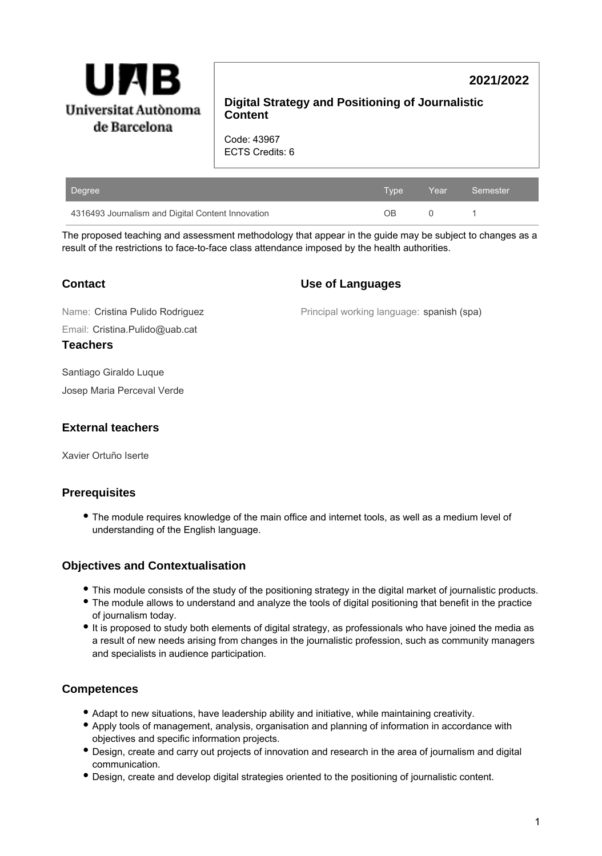

# **2021/2022**

## **Digital Strategy and Positioning of Journalistic Content**

Code: 43967 ECTS Credits: 6

| Degree                                            | Type | <b>Year</b> | Semester |
|---------------------------------------------------|------|-------------|----------|
| 4316493 Journalism and Digital Content Innovation | ΩR   |             |          |

The proposed teaching and assessment methodology that appear in the guide may be subject to changes as a result of the restrictions to face-to-face class attendance imposed by the health authorities.

| <b>Contact</b> |  |
|----------------|--|
|----------------|--|

Principal working language: spanish (spa)

**Use of Languages**

Email: Cristina.Pulido@uab.cat Name: Cristina Pulido Rodriguez

**Teachers**

Santiago Giraldo Luque

Josep Maria Perceval Verde

## **External teachers**

Xavier Ortuño Iserte

# **Prerequisites**

The module requires knowledge of the main office and internet tools, as well as a medium level of understanding of the English language.

## **Objectives and Contextualisation**

- This module consists of the study of the positioning strategy in the digital market of journalistic products.
- The module allows to understand and analyze the tools of digital positioning that benefit in the practice of journalism today.
- It is proposed to study both elements of digital strategy, as professionals who have joined the media as a result of new needs arising from changes in the journalistic profession, such as community managers and specialists in audience participation.

## **Competences**

- Adapt to new situations, have leadership ability and initiative, while maintaining creativity.
- Apply tools of management, analysis, organisation and planning of information in accordance with objectives and specific information projects.
- Design, create and carry out projects of innovation and research in the area of journalism and digital communication.
- Design, create and develop digital strategies oriented to the positioning of journalistic content.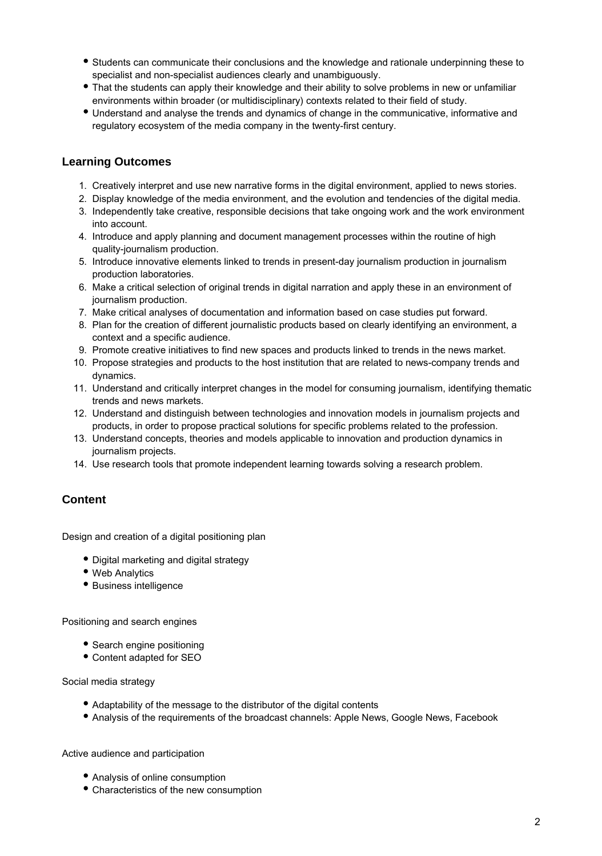- Students can communicate their conclusions and the knowledge and rationale underpinning these to specialist and non-specialist audiences clearly and unambiguously.
- That the students can apply their knowledge and their ability to solve problems in new or unfamiliar environments within broader (or multidisciplinary) contexts related to their field of study.
- Understand and analyse the trends and dynamics of change in the communicative, informative and regulatory ecosystem of the media company in the twenty-first century.

### **Learning Outcomes**

- 1. Creatively interpret and use new narrative forms in the digital environment, applied to news stories.
- 2. Display knowledge of the media environment, and the evolution and tendencies of the digital media.
- 3. Independently take creative, responsible decisions that take ongoing work and the work environment into account.
- 4. Introduce and apply planning and document management processes within the routine of high quality-journalism production.
- 5. Introduce innovative elements linked to trends in present-day journalism production in journalism production laboratories.
- 6. Make a critical selection of original trends in digital narration and apply these in an environment of journalism production.
- 7. Make critical analyses of documentation and information based on case studies put forward.
- 8. Plan for the creation of different journalistic products based on clearly identifying an environment, a context and a specific audience.
- 9. Promote creative initiatives to find new spaces and products linked to trends in the news market.
- 10. Propose strategies and products to the host institution that are related to news-company trends and dynamics.
- 11. Understand and critically interpret changes in the model for consuming journalism, identifying thematic trends and news markets.
- 12. Understand and distinguish between technologies and innovation models in journalism projects and products, in order to propose practical solutions for specific problems related to the profession.
- 13. Understand concepts, theories and models applicable to innovation and production dynamics in journalism projects.
- 14. Use research tools that promote independent learning towards solving a research problem.

## **Content**

Design and creation of a digital positioning plan

- Digital marketing and digital strategy
- Web Analytics
- Business intelligence

Positioning and search engines

- Search engine positioning
- Content adapted for SEO

Social media strategy

- Adaptability of the message to the distributor of the digital contents
- Analysis of the requirements of the broadcast channels: Apple News, Google News, Facebook

Active audience and participation

- Analysis of online consumption
- Characteristics of the new consumption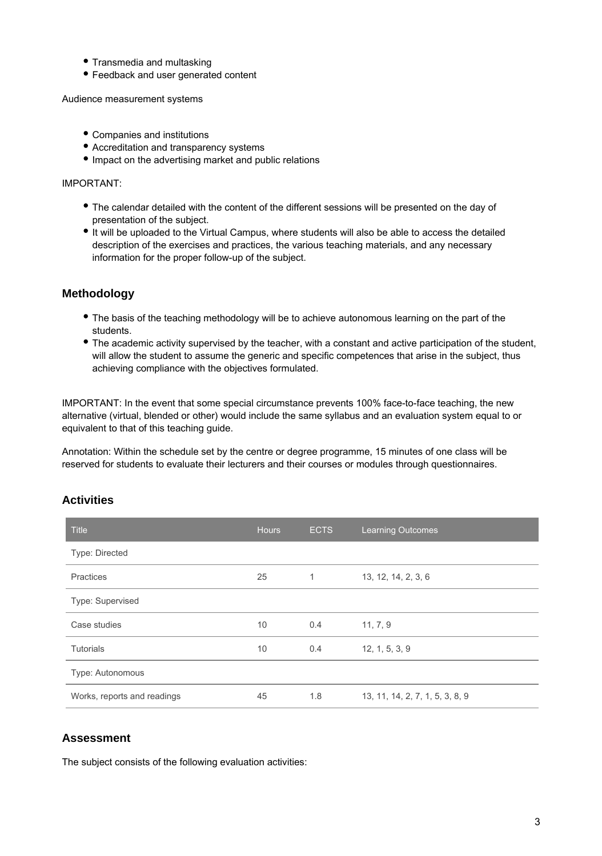- Transmedia and multasking
- Feedback and user generated content

Audience measurement systems

- Companies and institutions
- Accreditation and transparency systems
- $\bullet$  Impact on the advertising market and public relations

#### IMPORTANT:

- The calendar detailed with the content of the different sessions will be presented on the day of presentation of the subject.
- It will be uploaded to the Virtual Campus, where students will also be able to access the detailed description of the exercises and practices, the various teaching materials, and any necessary information for the proper follow-up of the subject.

### **Methodology**

- The basis of the teaching methodology will be to achieve autonomous learning on the part of the students.
- The academic activity supervised by the teacher, with a constant and active participation of the student, will allow the student to assume the generic and specific competences that arise in the subject, thus achieving compliance with the objectives formulated.

IMPORTANT: In the event that some special circumstance prevents 100% face-to-face teaching, the new alternative (virtual, blended or other) would include the same syllabus and an evaluation system equal to or equivalent to that of this teaching guide.

Annotation: Within the schedule set by the centre or degree programme, 15 minutes of one class will be reserved for students to evaluate their lecturers and their courses or modules through questionnaires.

### **Activities**

| <b>Title</b>                | <b>Hours</b> | <b>ECTS</b>  | <b>Learning Outcomes</b>        |
|-----------------------------|--------------|--------------|---------------------------------|
| Type: Directed              |              |              |                                 |
| Practices                   | 25           | $\mathbf{1}$ | 13, 12, 14, 2, 3, 6             |
| Type: Supervised            |              |              |                                 |
| Case studies                | 10           | 0.4          | 11, 7, 9                        |
| <b>Tutorials</b>            | 10           | 0.4          | 12, 1, 5, 3, 9                  |
| Type: Autonomous            |              |              |                                 |
| Works, reports and readings | 45           | 1.8          | 13, 11, 14, 2, 7, 1, 5, 3, 8, 9 |

### **Assessment**

The subject consists of the following evaluation activities: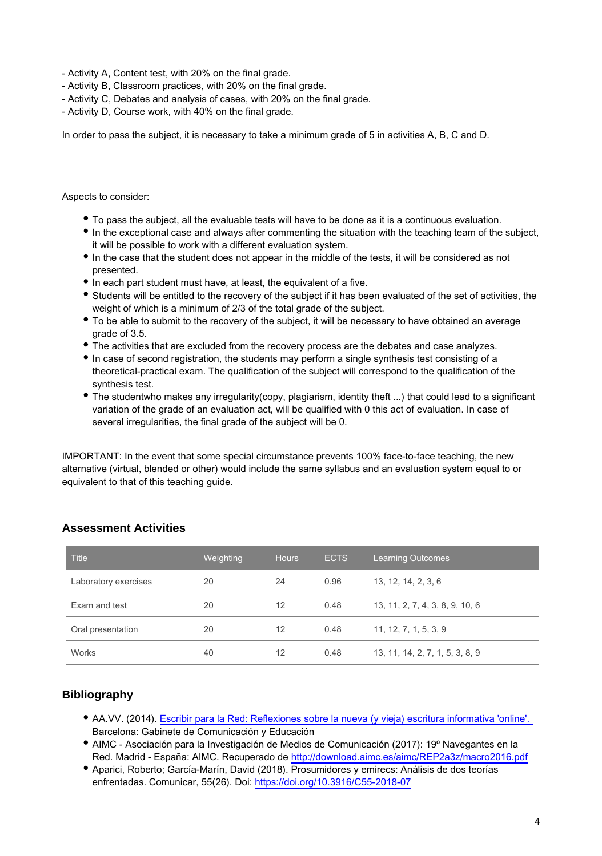- Activity A, Content test, with 20% on the final grade.
- Activity B, Classroom practices, with 20% on the final grade.
- Activity C, Debates and analysis of cases, with 20% on the final grade.
- Activity D, Course work, with 40% on the final grade.

In order to pass the subject, it is necessary to take a minimum grade of 5 in activities A, B, C and D.

#### Aspects to consider:

- To pass the subject, all the evaluable tests will have to be done as it is a continuous evaluation.
- In the exceptional case and always after commenting the situation with the teaching team of the subject, it will be possible to work with a different evaluation system.
- In the case that the student does not appear in the middle of the tests, it will be considered as not presented.
- In each part student must have, at least, the equivalent of a five.
- Students will be entitled to the recovery of the subject if it has been evaluated of the set of activities, the weight of which is a minimum of 2/3 of the total grade of the subject.
- To be able to submit to the recovery of the subject, it will be necessary to have obtained an average grade of 3.5.
- The activities that are excluded from the recovery process are the debates and case analyzes.
- In case of second registration, the students may perform a single synthesis test consisting of a theoretical-practical exam. The qualification of the subject will correspond to the qualification of the synthesis test.
- The studentwho makes any irregularity(copy, plagiarism, identity theft ...) that could lead to a significant variation of the grade of an evaluation act, will be qualified with 0 this act of evaluation. In case of several irregularities, the final grade of the subject will be 0.

IMPORTANT: In the event that some special circumstance prevents 100% face-to-face teaching, the new alternative (virtual, blended or other) would include the same syllabus and an evaluation system equal to or equivalent to that of this teaching guide.

| <b>Title</b>         | Weighting | <b>Hours</b> | <b>ECTS</b> | Learning Outcomes               |
|----------------------|-----------|--------------|-------------|---------------------------------|
| Laboratory exercises | 20        | 24           | 0.96        | 13, 12, 14, 2, 3, 6             |
| Exam and test        | 20        | 12           | 0.48        | 13, 11, 2, 7, 4, 3, 8, 9, 10, 6 |
| Oral presentation    | 20        | 12           | 0.48        | 11, 12, 7, 1, 5, 3, 9           |
| <b>Works</b>         | 40        | 12           | 0.48        | 13, 11, 14, 2, 7, 1, 5, 3, 8, 9 |

### **Assessment Activities**

## **Bibliography**

- AA.VV. (2014). [Escribir para la Red: Reflexiones sobre la nueva \(y vieja\) escritura informativa 'online'.](http://www.gabinetecomunicacionyeducacion.com/es/publicaciones/escribir-para-la-red-reflexiones-sobre-la-nueva-y-vieja-escritura-informativa-online)  Barcelona: Gabinete de Comunicación y Educación
- AIMC Asociación para la Investigación de Medios de Comunicación (2017): 19º Navegantes en la Red. Madrid - España: AIMC. Recuperado de <http://download.aimc.es/aimc/REP2a3z/macro2016.pdf>
- Aparici, Roberto; García-Marín, David (2018). Prosumidores y emirecs: Análisis de dos teorías enfrentadas. Comunicar, 55(26). Doi: <https://doi.org/10.3916/C55-2018-07>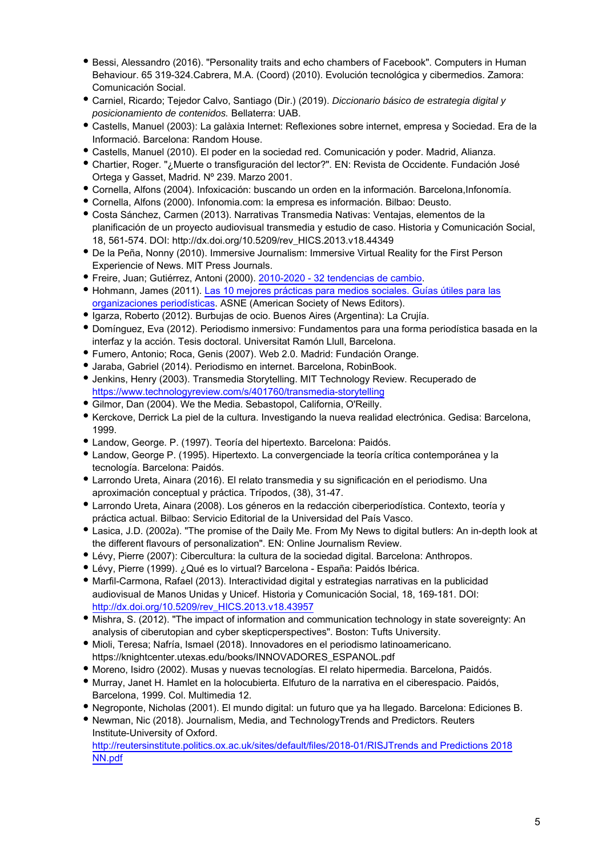- Bessi, Alessandro (2016). "Personality traits and echo chambers of Facebook". Computers in Human Behaviour. 65 319-324.Cabrera, M.A. (Coord) (2010). Evolución tecnológica y cibermedios. Zamora: Comunicación Social.
- Carniel, Ricardo; Tejedor Calvo, Santiago (Dir.) (2019). Diccionario básico de estrategia digital y posicionamiento de contenidos. Bellaterra: UAB.
- Castells, Manuel (2003): La galàxia Internet: Reflexiones sobre internet, empresa y Sociedad. Era de la Informació. Barcelona: Random House.
- Castells, Manuel (2010). El poder en la sociedad red. Comunicación y poder. Madrid, Alianza.
- Chartier, Roger. "¿Muerte o transfiguración del lector?". EN: Revista de Occidente. Fundación José Ortega y Gasset, Madrid. Nº 239. Marzo 2001.
- Cornella, Alfons (2004). Infoxicación: buscando un orden en la información. Barcelona,Infonomía.
- Cornella, Alfons (2000). Infonomia.com: la empresa es información. Bilbao: Deusto.
- Costa Sánchez, Carmen (2013). Narrativas Transmedia Nativas: Ventajas, elementos de la planificación de un proyecto audiovisual transmedia y estudio de caso. Historia y Comunicación Social, 18, 561-574. DOI: http://dx.doi.org/10.5209/rev\_HICS.2013.v18.44349
- De la Peña, Nonny (2010). Immersive Journalism: Immersive Virtual Reality for the First Person Experiencie of News. MIT Press Journals.
- Freire, Juan; Gutiérrez, Antoni (2000). [2010-2020 32 tendencias de cambio.](http://blogdelmedio.com/libros/32-tendencias-de-cambio-antoni-gutierrez-rubi/)
- Hohmann, James (2011). [Las 10 mejores prácticas para medios sociales. Guías útiles para las](https://knightcenter.utexas.edu/mejores_practicas_SPANISH_2011.pdf) [organizaciones periodísticas](https://knightcenter.utexas.edu/mejores_practicas_SPANISH_2011.pdf). ASNE (American Society of News Editors).
- Igarza, Roberto (2012). Burbujas de ocio. Buenos Aires (Argentina): La Crujía.
- Domínguez, Eva (2012). Periodismo inmersivo: Fundamentos para una forma periodística basada en la interfaz y la acción. Tesis doctoral. Universitat Ramón Llull, Barcelona.
- Fumero, Antonio; Roca, Genis (2007). Web 2.0. Madrid: Fundación Orange.
- Jaraba, Gabriel (2014). Periodismo en internet. Barcelona, RobinBook.
- Jenkins, Henry (2003). Transmedia Storytelling. MIT Technology Review. Recuperado de <https://www.technologyreview.com/s/401760/transmedia-storytelling>
- Gilmor, Dan (2004). We the Media. Sebastopol, California, O'Reilly.
- Kerckove, Derrick La piel de la cultura. Investigando la nueva realidad electrónica. Gedisa: Barcelona, 1999.
- Landow, George. P. (1997). Teoría del hipertexto. Barcelona: Paidós.
- Landow, George P. (1995). Hipertexto. La convergenciade la teoría crítica contemporánea y la tecnología. Barcelona: Paidós.
- Larrondo Ureta, Ainara (2016). El relato transmedia y su significación en el periodismo. Una aproximación conceptual y práctica. Trípodos, (38), 31-47.
- Larrondo Ureta, Ainara (2008). Los géneros en la redacción ciberperiodística. Contexto, teoría y práctica actual. Bilbao: Servicio Editorial de la Universidad del País Vasco.
- Lasica, J.D. (2002a). "The promise of the Daily Me. From My News to digital butlers: An in-depth look at the different flavours of personalization". EN: Online Journalism Review.
- Lévy, Pierre (2007): Cibercultura: la cultura de la sociedad digital. Barcelona: Anthropos.
- Lévy, Pierre (1999). ¿Qué es lo virtual? Barcelona España: Paidós Ibérica.
- Marfil-Carmona, Rafael (2013). Interactividad digital y estrategias narrativas en la publicidad audiovisual de Manos Unidas y Unicef. Historia y Comunicación Social, 18, 169-181. DOI: [http://dx.doi.org/10.5209/rev\\_HICS.2013.v18.43957](http://dx.doi.org/10.5209/rev_HICS.2013.v18.43957)
- Mishra, S. (2012). "The impact of information and communication technology in state sovereignty: An analysis of ciberutopian and cyber skepticperspectives". Boston: Tufts University.
- Mioli, Teresa; Nafría, Ismael (2018). Innovadores en el periodismo latinoamericano. https://knightcenter.utexas.edu/books/INNOVADORES\_ESPANOL.pdf
- Moreno, Isidro (2002). Musas y nuevas tecnologías. El relato hipermedia. Barcelona, Paidós.
- Murray, Janet H. Hamlet en la holocubierta. Elfuturo de la narrativa en el ciberespacio. Paidós, Barcelona, 1999. Col. Multimedia 12.
- Negroponte, Nicholas (2001). El mundo digital: un futuro que ya ha llegado. Barcelona: Ediciones B.
- Newman, Nic (2018). Journalism, Media, and TechnologyTrends and Predictors. Reuters Institute-University of Oxford. [http://reutersinstitute.politics.ox.ac.uk/sites/default/files/2018-01/RISJTrends and Predictions 2018](http://reutersinstitute.politics.ox.ac.uk/sites/default/files/2018-01/RISJTrends%20and%20Predictions%202018%20NN.pdf)

[NN.pdf](http://reutersinstitute.politics.ox.ac.uk/sites/default/files/2018-01/RISJTrends%20and%20Predictions%202018%20NN.pdf)